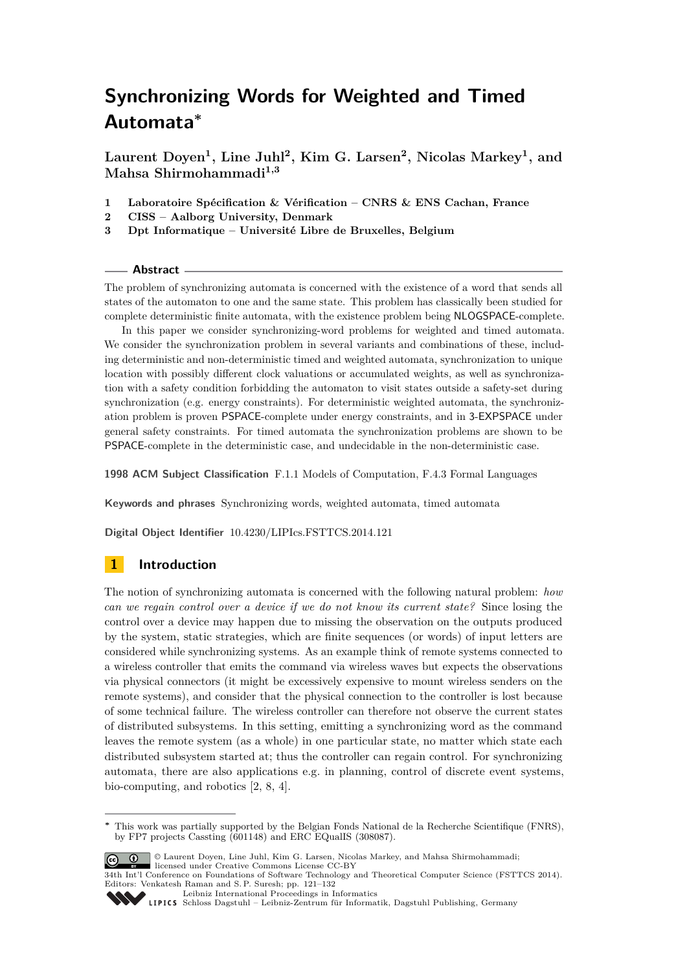**Laurent Doyen<sup>1</sup> , Line Juhl<sup>2</sup> , Kim G. Larsen<sup>2</sup> , Nicolas Markey<sup>1</sup> , and Mahsa Shirmohammadi1,3**

- **1 Laboratoire Spécification & Vérification CNRS & ENS Cachan, France**
- **2 CISS Aalborg University, Denmark**
- **3 Dpt Informatique Université Libre de Bruxelles, Belgium**

## **Abstract**

The problem of synchronizing automata is concerned with the existence of a word that sends all states of the automaton to one and the same state. This problem has classically been studied for complete deterministic finite automata, with the existence problem being NLOGSPACE-complete.

In this paper we consider synchronizing-word problems for weighted and timed automata. We consider the synchronization problem in several variants and combinations of these, including deterministic and non-deterministic timed and weighted automata, synchronization to unique location with possibly different clock valuations or accumulated weights, as well as synchronization with a safety condition forbidding the automaton to visit states outside a safety-set during synchronization (e.g. energy constraints). For deterministic weighted automata, the synchronization problem is proven PSPACE-complete under energy constraints, and in 3-EXPSPACE under general safety constraints. For timed automata the synchronization problems are shown to be PSPACE-complete in the deterministic case, and undecidable in the non-deterministic case.

**1998 ACM Subject Classification** F.1.1 Models of Computation, F.4.3 Formal Languages

**Keywords and phrases** Synchronizing words, weighted automata, timed automata

**Digital Object Identifier** [10.4230/LIPIcs.FSTTCS.2014.121](http://dx.doi.org/10.4230/LIPIcs.FSTTCS.2014.121)

# **1 Introduction**

The notion of synchronizing automata is concerned with the following natural problem: *how can we regain control over a device if we do not know its current state?* Since losing the control over a device may happen due to missing the observation on the outputs produced by the system, static strategies, which are finite sequences (or words) of input letters are considered while synchronizing systems. As an example think of remote systems connected to a wireless controller that emits the command via wireless waves but expects the observations via physical connectors (it might be excessively expensive to mount wireless senders on the remote systems), and consider that the physical connection to the controller is lost because of some technical failure. The wireless controller can therefore not observe the current states of distributed subsystems. In this setting, emitting a synchronizing word as the command leaves the remote system (as a whole) in one particular state, no matter which state each distributed subsystem started at; thus the controller can regain control. For synchronizing automata, there are also applications e.g. in planning, control of discrete event systems, bio-computing, and robotics [\[2,](#page-11-0) [8,](#page-11-1) [4\]](#page-11-2).

**<sup>∗</sup>** This work was partially supported by the Belgian Fonds National de la Recherche Scientifique (FNRS), by FP7 projects Cassting (601148) and ERC EQualIS (308087).



© Laurent Doyen, Line Juhl, Kim G. Larsen, Nicolas Markey, and Mahsa Shirmohammadi; licensed under Creative Commons License CC-BY 34th Int'l Conference on Foundations of Software Technology and Theoretical Computer Science (FSTTCS 2014).

Editors: Venkatesh Raman and S. P. Suresh; pp. 121[–132](#page-11-3) [Leibniz International Proceedings in Informatics](http://www.dagstuhl.de/lipics/)

Leibniz international ruse einigs in missimosischen Publishing, Germany<br>LIPICS [Schloss Dagstuhl – Leibniz-Zentrum für Informatik, Dagstuhl Publishing, Germany](http://www.dagstuhl.de)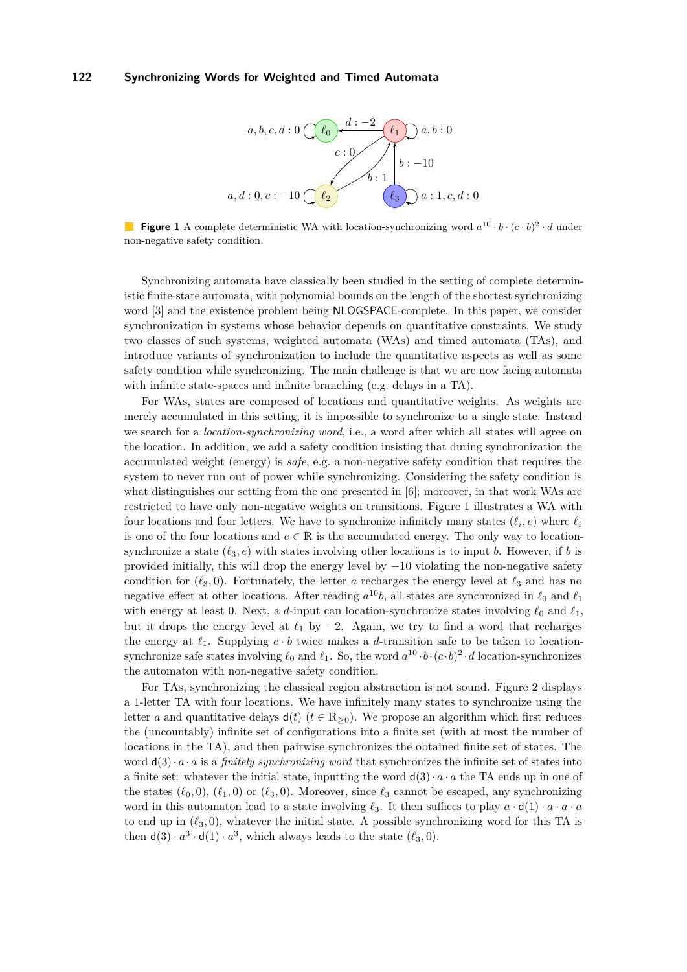<span id="page-1-0"></span>

**Figure 1** A complete deterministic WA with location-synchronizing word  $a^{10} \cdot b \cdot (c \cdot b)^2 \cdot d$  under non-negative safety condition.

Synchronizing automata have classically been studied in the setting of complete deterministic finite-state automata, with polynomial bounds on the length of the shortest synchronizing word [\[3\]](#page-11-4) and the existence problem being NLOGSPACE-complete. In this paper, we consider synchronization in systems whose behavior depends on quantitative constraints. We study two classes of such systems, weighted automata (WAs) and timed automata (TAs), and introduce variants of synchronization to include the quantitative aspects as well as some safety condition while synchronizing. The main challenge is that we are now facing automata with infinite state-spaces and infinite branching (e.g. delays in a TA).

For WAs, states are composed of locations and quantitative weights. As weights are merely accumulated in this setting, it is impossible to synchronize to a single state. Instead we search for a *location-synchronizing word*, i.e., a word after which all states will agree on the location. In addition, we add a safety condition insisting that during synchronization the accumulated weight (energy) is *safe*, e.g. a non-negative safety condition that requires the system to never run out of power while synchronizing. Considering the safety condition is what distinguishes our setting from the one presented in [\[6\]](#page-11-5); moreover, in that work WAs are restricted to have only non-negative weights on transitions. Figure [1](#page-1-0) illustrates a WA with four locations and four letters. We have to synchronize infinitely many states  $(\ell_i, e)$  where  $\ell_i$ is one of the four locations and  $e \in \mathbb{R}$  is the accumulated energy. The only way to locationsynchronize a state  $(\ell_3, e)$  with states involving other locations is to input *b*. However, if *b* is provided initially, this will drop the energy level by  $-10$  violating the non-negative safety condition for  $(\ell_3, 0)$ . Fortunately, the letter *a* recharges the energy level at  $\ell_3$  and has no negative effect at other locations. After reading  $a^{10}b$ , all states are synchronized in  $\ell_0$  and  $\ell_1$ with energy at least 0. Next, a *d*-input can location-synchronize states involving  $\ell_0$  and  $\ell_1$ , but it drops the energy level at  $\ell_1$  by  $-2$ . Again, we try to find a word that recharges the energy at  $\ell_1$ . Supplying  $c \cdot b$  twice makes a *d*-transition safe to be taken to locationsynchronize safe states involving  $\ell_0$  and  $\ell_1$ . So, the word  $a^{10} \cdot b \cdot (c \cdot b)^2 \cdot d$  location-synchronizes the automaton with non-negative safety condition.

For TAs, synchronizing the classical region abstraction is not sound. Figure [2](#page-2-0) displays a 1-letter TA with four locations. We have infinitely many states to synchronize using the letter *a* and quantitative delays  $d(t)$  ( $t \in \mathbb{R}_{\geq 0}$ ). We propose an algorithm which first reduces the (uncountably) infinite set of configurations into a finite set (with at most the number of locations in the TA), and then pairwise synchronizes the obtained finite set of states. The word  $d(3) \cdot a \cdot a$  is a *finitely synchronizing word* that synchronizes the infinite set of states into a finite set: whatever the initial state, inputting the word  $d(3) \cdot a \cdot a$  the TA ends up in one of the states  $(\ell_0, 0)$ ,  $(\ell_1, 0)$  or  $(\ell_3, 0)$ . Moreover, since  $\ell_3$  cannot be escaped, any synchronizing word in this automaton lead to a state involving  $\ell_3$ . It then suffices to play  $a \cdot d(1) \cdot a \cdot a \cdot a$ to end up in  $(\ell_3, 0)$ , whatever the initial state. A possible synchronizing word for this TA is then  $d(3) \cdot a^3 \cdot d(1) \cdot a^3$ , which always leads to the state  $(\ell_3, 0)$ .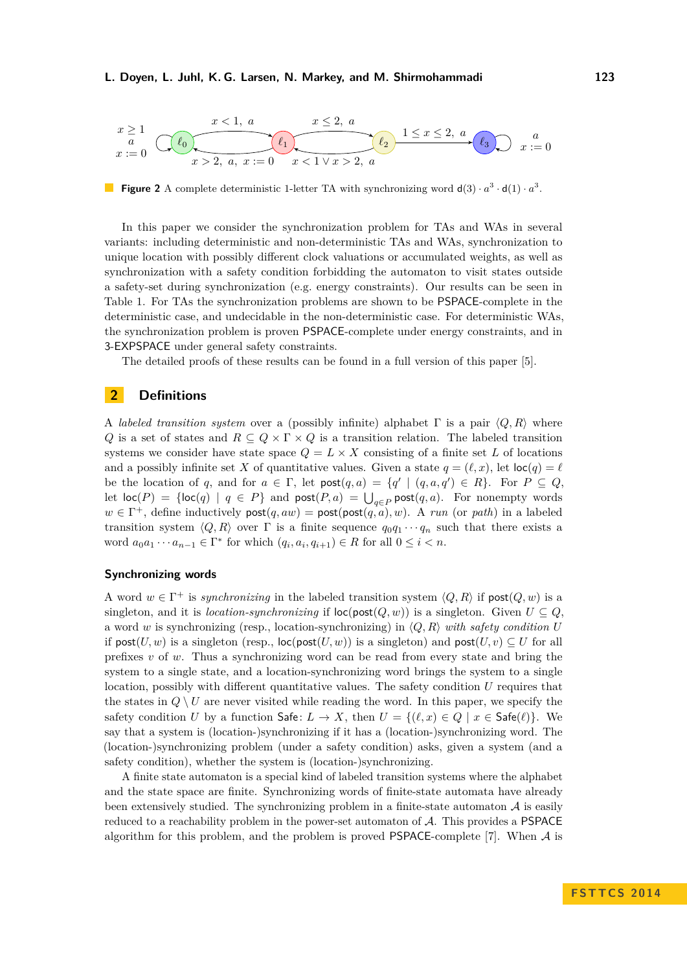#### **L. Doyen, L. Juhl, K. G. Larsen, N. Markey, and M. Shirmohammadi 123**

<span id="page-2-0"></span>

**Figure 2** A complete deterministic 1-letter TA with synchronizing word  $d(3) \cdot a^3 \cdot d(1) \cdot a^3$ .

In this paper we consider the synchronization problem for TAs and WAs in several variants: including deterministic and non-deterministic TAs and WAs, synchronization to unique location with possibly different clock valuations or accumulated weights, as well as synchronization with a safety condition forbidding the automaton to visit states outside a safety-set during synchronization (e.g. energy constraints). Our results can be seen in Table [1.](#page-3-0) For TAs the synchronization problems are shown to be PSPACE-complete in the deterministic case, and undecidable in the non-deterministic case. For deterministic WAs, the synchronization problem is proven PSPACE-complete under energy constraints, and in 3-EXPSPACE under general safety constraints.

The detailed proofs of these results can be found in a full version of this paper [\[5\]](#page-11-6).

# **2 Definitions**

A *labeled transition system* over a (possibly infinite) alphabet  $\Gamma$  is a pair  $\langle Q, R \rangle$  where *Q* is a set of states and  $R \subseteq Q \times \Gamma \times Q$  is a transition relation. The labeled transition systems we consider have state space  $Q = L \times X$  consisting of a finite set L of locations and a possibly infinite set X of quantitative values. Given a state  $q = (\ell, x)$ , let  $\text{loc}(q) = \ell$ be the location of *q*, and for  $a \in \Gamma$ , let  $\text{post}(q, a) = \{q' \mid (q, a, q') \in R\}$ . For  $P \subseteq Q$ , let  $\textsf{loc}(P) = \{\textsf{loc}(q) \mid q \in P\}$  and  $\textsf{post}(P, a) = \bigcup_{q \in P} \textsf{post}(q, a)$ . For nonempty words  $w \in \Gamma^+$ , define inductively  $post(q, aw) = post(post(q, a), w)$ . A *run* (or *path*) in a labeled transition system  $\langle Q, R \rangle$  over  $\Gamma$  is a finite sequence  $q_0 q_1 \cdots q_n$  such that there exists a word  $a_0a_1 \cdots a_{n-1} \in \Gamma^*$  for which  $(q_i, a_i, q_{i+1}) \in R$  for all  $0 \leq i < n$ .

## **Synchronizing words**

A word  $w \in \Gamma^+$  is *synchronizing* in the labeled transition system  $\langle Q, R \rangle$  if  $post(Q, w)$  is a singleton, and it is *location-synchronizing* if  $\text{loc}(\text{post}(Q, w))$  is a singleton. Given  $U \subseteq Q$ , a word *w* is synchronizing (resp., location-synchronizing) in  $\langle Q, R \rangle$  *with safety condition U* if post $(U, w)$  is a singleton (resp.,  $\text{loc}(\text{post}(U, w))$  is a singleton) and post $(U, v) \subseteq U$  for all prefixes *v* of *w*. Thus a synchronizing word can be read from every state and bring the system to a single state, and a location-synchronizing word brings the system to a single location, possibly with different quantitative values. The safety condition *U* requires that the states in  $Q \setminus U$  are never visited while reading the word. In this paper, we specify the safety condition *U* by a function Safe:  $L \to X$ , then  $U = \{(\ell, x) \in Q \mid x \in \mathsf{Safe}(\ell)\}\$ . We say that a system is (location-)synchronizing if it has a (location-)synchronizing word. The (location-)synchronizing problem (under a safety condition) asks, given a system (and a safety condition), whether the system is (location-)synchronizing.

A finite state automaton is a special kind of labeled transition systems where the alphabet and the state space are finite. Synchronizing words of finite-state automata have already been extensively studied. The synchronizing problem in a finite-state automaton  $A$  is easily reduced to a reachability problem in the power-set automaton of A. This provides a PSPACE algorithm for this problem, and the problem is proved PSPACE-complete [\[7\]](#page-11-7). When  $A$  is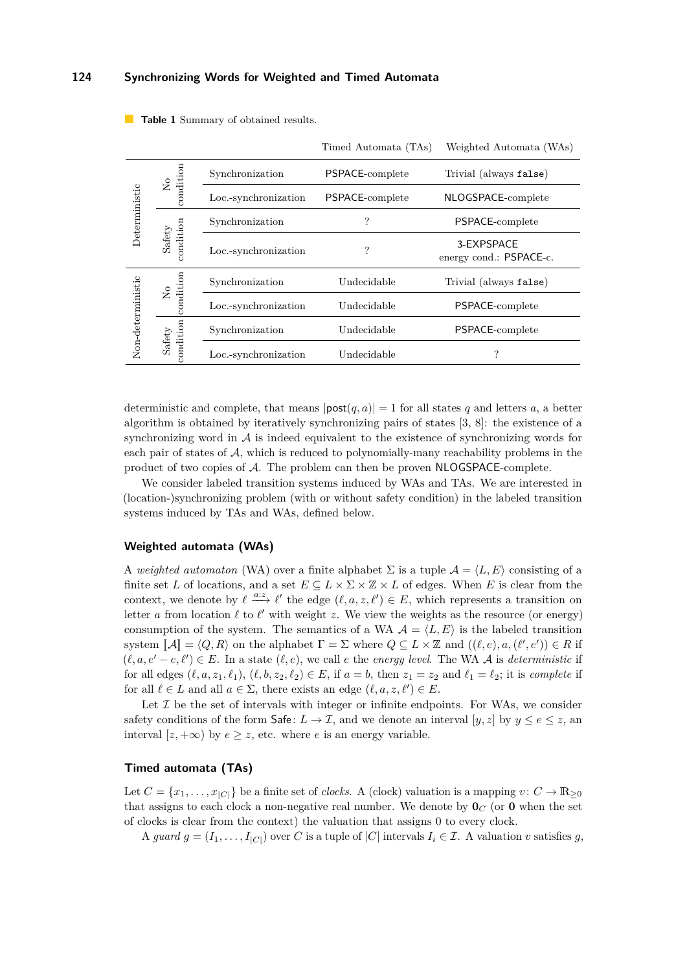|                   |                                         |                      | Timed Automata (TAs) | Weighted Automata (WAs)               |
|-------------------|-----------------------------------------|----------------------|----------------------|---------------------------------------|
| Deterministic     | condition<br>$\mathsf{S}^{\mathsf{O}}$  | Synchronization      | PSPACE-complete      | Trivial (always false)                |
|                   |                                         | Loc.-synchronization | PSPACE-complete      | NLOGSPACE-complete                    |
|                   | ondition<br>$\operatorname{\bf Safety}$ | Synchronization      | ?                    | PSPACE-complete                       |
|                   |                                         | Loc.-synchronization | ?                    | 3-EXPSPACE<br>energy cond.: PSPACE-c. |
| Non-deterministic | condition<br>$\mathsf{S}^{\mathsf{O}}$  | Synchronization      | Undecidable          | Trivial (always false)                |
|                   |                                         | Loc.-synchronization | Undecidable          | PSPACE-complete                       |
|                   | condition<br>Safety                     | Synchronization      | Undecidable          | PSPACE-complete                       |
|                   |                                         | Loc.-synchronization | Undecidable          | ?                                     |

<span id="page-3-0"></span>**Table 1** Summary of obtained results.

deterministic and complete, that means  $|\text{post}(q, a)| = 1$  for all states q and letters a, a better algorithm is obtained by iteratively synchronizing pairs of states [\[3,](#page-11-4) [8\]](#page-11-1): the existence of a synchronizing word in  $A$  is indeed equivalent to the existence of synchronizing words for each pair of states of  $A$ , which is reduced to polynomially-many reachability problems in the product of two copies of  $A$ . The problem can then be proven  $NLOGSPACE$ -complete.

We consider labeled transition systems induced by WAs and TAs. We are interested in (location-)synchronizing problem (with or without safety condition) in the labeled transition systems induced by TAs and WAs, defined below.

#### **Weighted automata (WAs)**

A *weighted automaton* (WA) over a finite alphabet  $\Sigma$  is a tuple  $\mathcal{A} = \langle L, E \rangle$  consisting of a finite set *L* of locations, and a set  $E \subseteq L \times \Sigma \times \mathbb{Z} \times L$  of edges. When *E* is clear from the context, we denote by  $\ell \stackrel{a:z}{\longrightarrow} \ell'$  the edge  $(\ell, a, z, \ell') \in E$ , which represents a transition on letter *a* from location  $\ell$  to  $\ell'$  with weight *z*. We view the weights as the resource (or energy) consumption of the system. The semantics of a WA  $A = \langle L, E \rangle$  is the labeled transition system  $\llbracket \mathcal{A} \rrbracket = \langle Q, R \rangle$  on the alphabet  $\Gamma = \Sigma$  where  $Q \subseteq L \times \mathbb{Z}$  and  $((\ell, e), a, (\ell', e')) \in R$  if  $(\ell, a, e' - e, \ell') \in E$ . In a state  $(\ell, e)$ , we call *e* the *energy level*. The WA A is *deterministic* if for all edges  $(\ell, a, z_1, \ell_1), (\ell, b, z_2, \ell_2) \in E$ , if  $a = b$ , then  $z_1 = z_2$  and  $\ell_1 = \ell_2$ ; it is *complete* if for all  $\ell \in L$  and all  $a \in \Sigma$ , there exists an edge  $(\ell, a, z, \ell') \in E$ .

Let  $\mathcal I$  be the set of intervals with integer or infinite endpoints. For WAs, we consider safety conditions of the form Safe:  $L \to \mathcal{I}$ , and we denote an interval  $[y, z]$  by  $y \le e \le z$ , an interval  $[z, +\infty)$  by  $e \geq z$ , etc. where *e* is an energy variable.

## **Timed automata (TAs)**

Let  $C = \{x_1, \ldots, x_{|C|}\}$  be a finite set of *clocks*. A (clock) valuation is a mapping  $v : C \to \mathbb{R}_{\geq 0}$ that assigns to each clock a non-negative real number. We denote by  $\mathbf{0}_C$  (or  $\mathbf{0}$  when the set of clocks is clear from the context) the valuation that assigns 0 to every clock.

A *guard*  $g = (I_1, \ldots, I_{|C|})$  over *C* is a tuple of  $|C|$  intervals  $I_i \in \mathcal{I}$ . A valuation *v* satisfies *g*,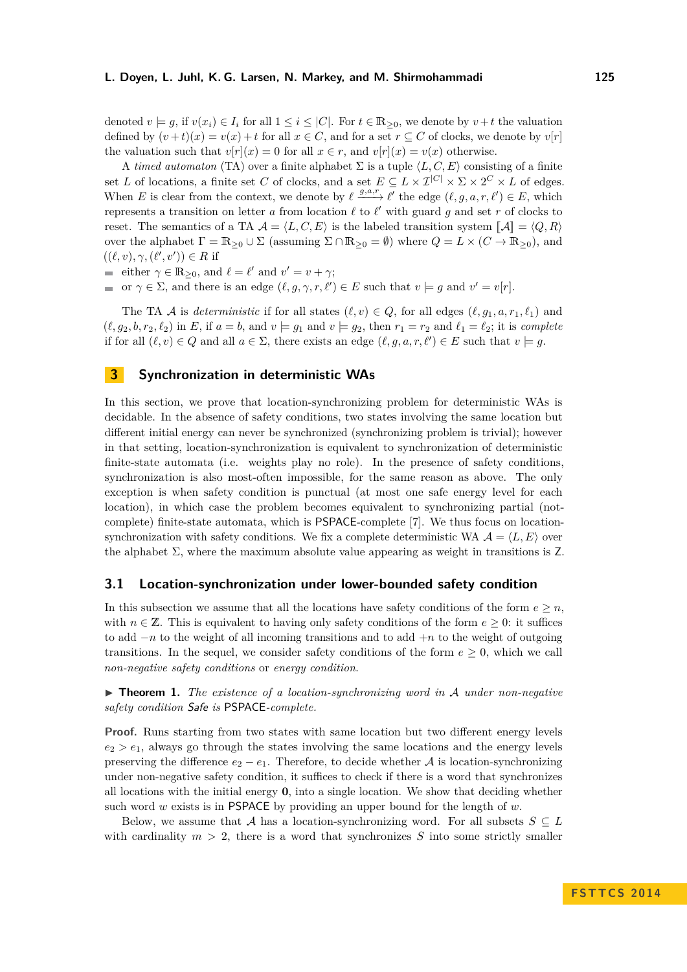denoted  $v \models q$ , if  $v(x_i) \in I_i$  for all  $1 \leq i \leq |C|$ . For  $t \in \mathbb{R}_{\geq 0}$ , we denote by  $v + t$  the valuation defined by  $(v+t)(x) = v(x) + t$  for all  $x \in C$ , and for a set  $r \subseteq C$  of clocks, we denote by  $v[r]$ the valuation such that  $v[r](x) = 0$  for all  $x \in r$ , and  $v[r](x) = v(x)$  otherwise.

A *timed automaton* (TA) over a finite alphabet  $\Sigma$  is a tuple  $\langle L, C, E \rangle$  consisting of a finite set *L* of locations, a finite set *C* of clocks, and a set  $E \subseteq L \times I^{|C|} \times \Sigma \times 2^C \times L$  of edges. When *E* is clear from the context, we denote by  $\ell \stackrel{g,a,r}{\longrightarrow} \ell'$  the edge  $(\ell, g, a, r, \ell') \in E$ , which represents a transition on letter *a* from location  $\ell$  to  $\ell'$  with guard *g* and set *r* of clocks to reset. The semantics of a TA  $A = \langle L, C, E \rangle$  is the labeled transition system  $\mathcal{A} = \langle Q, R \rangle$ over the alphabet  $\Gamma = \mathbb{R}_{\geq 0} \cup \Sigma$  (assuming  $\Sigma \cap \mathbb{R}_{\geq 0} = \emptyset$ ) where  $Q = L \times (C \to \mathbb{R}_{\geq 0})$ , and  $((\ell, v), \gamma, (\ell', v')) \in R$  if

either  $\gamma \in \mathbb{R}_{\geq 0}$ , and  $\ell = \ell'$  and  $v' = v + \gamma$ ;

or  $\gamma \in \Sigma$ , and there is an edge  $(\ell, g, \gamma, r, \ell') \in E$  such that  $v \models g$  and  $v' = v[r]$ .

The TA A is *deterministic* if for all states  $(\ell, v) \in Q$ , for all edges  $(\ell, q_1, a, r_1, \ell_1)$  and  $(\ell, g_2, b, r_2, \ell_2)$  in *E*, if  $a = b$ , and  $v \models g_1$  and  $v \models g_2$ , then  $r_1 = r_2$  and  $\ell_1 = \ell_2$ ; it is *complete* if for all  $(\ell, v) \in Q$  and all  $a \in \Sigma$ , there exists an edge  $(\ell, g, a, r, \ell') \in E$  such that  $v \models g$ .

## **3 Synchronization in deterministic WAs**

In this section, we prove that location-synchronizing problem for deterministic WAs is decidable. In the absence of safety conditions, two states involving the same location but different initial energy can never be synchronized (synchronizing problem is trivial); however in that setting, location-synchronization is equivalent to synchronization of deterministic finite-state automata (i.e. weights play no role). In the presence of safety conditions, synchronization is also most-often impossible, for the same reason as above. The only exception is when safety condition is punctual (at most one safe energy level for each location), in which case the problem becomes equivalent to synchronizing partial (notcomplete) finite-state automata, which is PSPACE-complete [\[7\]](#page-11-7). We thus focus on locationsynchronization with safety conditions. We fix a complete deterministic WA  $\mathcal{A} = \langle L, E \rangle$  over the alphabet  $\Sigma$ , where the maximum absolute value appearing as weight in transitions is Z.

## **3.1 Location-synchronization under lower-bounded safety condition**

In this subsection we assume that all the locations have safety conditions of the form  $e \geq n$ , with  $n \in \mathbb{Z}$ . This is equivalent to having only safety conditions of the form  $e \geq 0$ : it suffices to add −*n* to the weight of all incoming transitions and to add +*n* to the weight of outgoing transitions. In the sequel, we consider safety conditions of the form  $e > 0$ , which we call *non-negative safety conditions* or *energy condition*.

<span id="page-4-0"></span>▶ **Theorem 1.** *The existence of a location-synchronizing word in* A *under non-negative safety condition* Safe *is* PSPACE*-complete.*

**Proof.** Runs starting from two states with same location but two different energy levels  $e_2 > e_1$ , always go through the states involving the same locations and the energy levels preserving the difference  $e_2 - e_1$ . Therefore, to decide whether A is location-synchronizing under non-negative safety condition, it suffices to check if there is a word that synchronizes all locations with the initial energy **0**, into a single location. We show that deciding whether such word *w* exists is in PSPACE by providing an upper bound for the length of *w*.

Below, we assume that A has a location-synchronizing word. For all subsets  $S \subseteq L$ with cardinality  $m > 2$ , there is a word that synchronizes S into some strictly smaller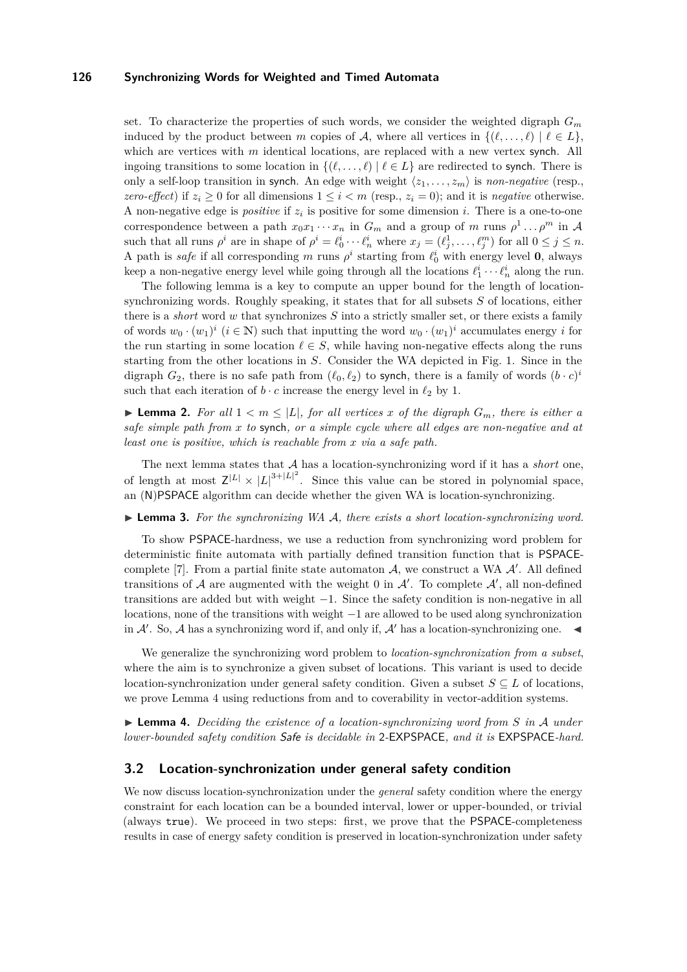set. To characterize the properties of such words, we consider the weighted digraph  $G_m$ induced by the product between *m* copies of A, where all vertices in  $\{(\ell, \ldots, \ell) | \ell \in L\}$ , which are vertices with *m* identical locations, are replaced with a new vertex synch. All ingoing transitions to some location in  $\{(\ell, \ldots, \ell) \mid \ell \in L\}$  are redirected to synch. There is only a self-loop transition in synch. An edge with weight  $\langle z_1, \ldots, z_m \rangle$  is *non-negative* (resp., *zero-effect*) if  $z_i > 0$  for all dimensions  $1 \leq i \leq m$  (resp.,  $z_i = 0$ ); and it is *negative* otherwise. A non-negative edge is *positive* if  $z_i$  is positive for some dimension *i*. There is a one-to-one correspondence between a path  $x_0x_1 \cdots x_n$  in  $G_m$  and a group of *m* runs  $\rho^1 \dots \rho^m$  in A such that all runs  $\rho^i$  are in shape of  $\rho^i = \ell_0^i \cdots \ell_n^i$  where  $x_j = (\ell_j^1, \ldots, \ell_j^m)$  for all  $0 \le j \le n$ . A path is *safe* if all corresponding *m* runs  $\rho^i$  starting from  $\ell_0^i$  with energy level **0**, always keep a non-negative energy level while going through all the locations  $\ell_1^i \cdots \ell_n^i$  along the run.

The following lemma is a key to compute an upper bound for the length of locationsynchronizing words. Roughly speaking, it states that for all subsets *S* of locations, either there is a *short* word *w* that synchronizes *S* into a strictly smaller set, or there exists a family of words  $w_0 \cdot (w_1)^i$   $(i \in \mathbb{N})$  such that inputting the word  $w_0 \cdot (w_1)^i$  accumulates energy *i* for the run starting in some location  $\ell \in S$ , while having non-negative effects along the runs starting from the other locations in *S*. Consider the WA depicted in Fig. [1.](#page-1-0) Since in the digraph  $G_2$ , there is no safe path from  $(\ell_0, \ell_2)$  to synch, there is a family of words  $(b \cdot c)^i$ such that each iteration of  $b \cdot c$  increase the energy level in  $\ell_2$  by 1.

**I Lemma 2.** For all  $1 < m \leq |L|$ , for all vertices x of the digraph  $G_m$ , there is either a *safe simple path from x to* synch*, or a simple cycle where all edges are non-negative and at least one is positive, which is reachable from x via a safe path.*

The next lemma states that A has a location-synchronizing word if it has a *short* one, of length at most  $Z^{|L|} \times |L|^{3+|L|^2}$ . Since this value can be stored in polynomial space, an (N)PSPACE algorithm can decide whether the given WA is location-synchronizing.

▶ **Lemma 3.** For the synchronizing WA A, there exists a short location-synchronizing word.

To show PSPACE-hardness, we use a reduction from synchronizing word problem for deterministic finite automata with partially defined transition function that is PSPACE-complete [\[7\]](#page-11-7). From a partial finite state automaton  $A$ , we construct a WA  $A'$ . All defined transitions of A are augmented with the weight 0 in  $\mathcal{A}'$ . To complete  $\mathcal{A}'$ , all non-defined transitions are added but with weight −1. Since the safety condition is non-negative in all locations, none of the transitions with weight −1 are allowed to be used along synchronization in  $A'$ . So, A has a synchronizing word if, and only if, A' has a location-synchronizing one.

We generalize the synchronizing word problem to *location-synchronization from a subset*, where the aim is to synchronize a given subset of locations. This variant is used to decide location-synchronization under general safety condition. Given a subset  $S \subseteq L$  of locations, we prove Lemma [4](#page-5-0) using reductions from and to coverability in vector-addition systems.

<span id="page-5-0"></span>I **Lemma 4.** *Deciding the existence of a location-synchronizing word from S in* A *under lower-bounded safety condition* Safe *is decidable in* 2*-*EXPSPACE*, and it is* EXPSPACE*-hard.*

## **3.2 Location-synchronization under general safety condition**

We now discuss location-synchronization under the *general* safety condition where the energy constraint for each location can be a bounded interval, lower or upper-bounded, or trivial (always true). We proceed in two steps: first, we prove that the PSPACE-completeness results in case of energy safety condition is preserved in location-synchronization under safety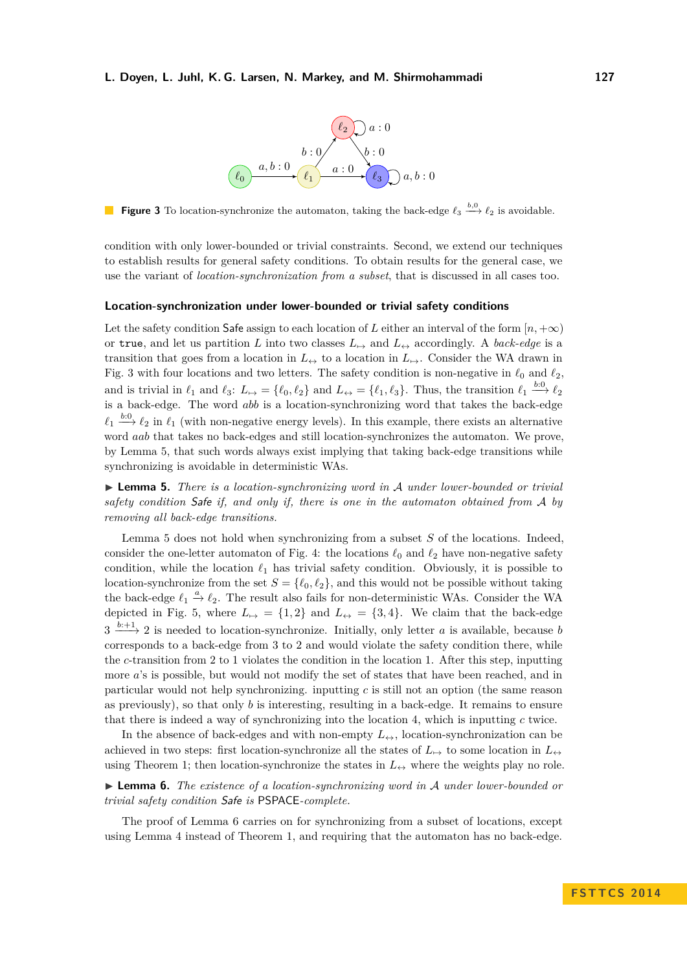#### <span id="page-6-0"></span>**L. Doyen, L. Juhl, K. G. Larsen, N. Markey, and M. Shirmohammadi 127**



**Figure 3** To location-synchronize the automaton, taking the back-edge  $\ell_3 \stackrel{b,0}{\longrightarrow} \ell_2$  is avoidable.

condition with only lower-bounded or trivial constraints. Second, we extend our techniques to establish results for general safety conditions. To obtain results for the general case, we use the variant of *location-synchronization from a subset*, that is discussed in all cases too.

#### **Location-synchronization under lower-bounded or trivial safety conditions**

Let the safety condition Safe assign to each location of *L* either an interval of the form  $[n, +\infty)$ or true, and let us partition *L* into two classes  $L_{\mapsto}$  and  $L_{\leftrightarrow}$  accordingly. A *back-edge* is a transition that goes from a location in  $L_{\leftrightarrow}$  to a location in  $L_{\leftrightarrow}$ . Consider the WA drawn in Fig. [3](#page-6-0) with four locations and two letters. The safety condition is non-negative in  $\ell_0$  and  $\ell_2$ , and is trivial in  $\ell_1$  and  $\ell_3$ :  $L_{\mapsto} = {\ell_0, \ell_2}$  and  $L_{\leftrightarrow} = {\ell_1, \ell_3}$ . Thus, the transition  $\ell_1 \stackrel{\text{b}:0}{\longrightarrow} \ell_2$ is a back-edge. The word *abb* is a location-synchronizing word that takes the back-edge  $\ell_1 \stackrel{b:0}{\longrightarrow} \ell_2$  in  $\ell_1$  (with non-negative energy levels). In this example, there exists an alternative word *aab* that takes no back-edges and still location-synchronizes the automaton. We prove, by Lemma [5,](#page-6-1) that such words always exist implying that taking back-edge transitions while synchronizing is avoidable in deterministic WAs.

<span id="page-6-1"></span>I **Lemma 5.** *There is a location-synchronizing word in* A *under lower-bounded or trivial safety condition* Safe *if, and only if, there is one in the automaton obtained from* A *by removing all back-edge transitions.*

Lemma [5](#page-6-1) does not hold when synchronizing from a subset *S* of the locations. Indeed, consider the one-letter automaton of Fig. [4:](#page-7-0) the locations  $\ell_0$  and  $\ell_2$  have non-negative safety condition, while the location  $\ell_1$  has trivial safety condition. Obviously, it is possible to location-synchronize from the set  $S = \{\ell_0, \ell_2\}$ , and this would not be possible without taking the back-edge  $\ell_1 \stackrel{a}{\to} \ell_2$ . The result also fails for non-deterministic WAs. Consider the WA depicted in Fig. [5,](#page-7-0) where  $L_{\mapsto} = \{1,2\}$  and  $L_{\leftrightarrow} = \{3,4\}$ . We claim that the back-edge  $3 \xrightarrow{b+1} 2$  is needed to location-synchronize. Initially, only letter *a* is available, because *b* corresponds to a back-edge from 3 to 2 and would violate the safety condition there, while the *c*-transition from 2 to 1 violates the condition in the location 1. After this step, inputting more *a*'s is possible, but would not modify the set of states that have been reached, and in particular would not help synchronizing. inputting *c* is still not an option (the same reason as previously), so that only *b* is interesting, resulting in a back-edge. It remains to ensure that there is indeed a way of synchronizing into the location 4, which is inputting *c* twice.

In the absence of back-edges and with non-empty  $L_{\leftrightarrow}$ , location-synchronization can be achieved in two steps: first location-synchronize all the states of  $L_{\mapsto}$  to some location in  $L_{\leftrightarrow}$ using Theorem [1;](#page-4-0) then location-synchronize the states in  $L_{\leftrightarrow}$  where the weights play no role.

<span id="page-6-2"></span>I **Lemma 6.** *The existence of a location-synchronizing word in* A *under lower-bounded or trivial safety condition* Safe *is* PSPACE*-complete.*

The proof of Lemma [6](#page-6-2) carries on for synchronizing from a subset of locations, except using Lemma [4](#page-5-0) instead of Theorem [1,](#page-4-0) and requiring that the automaton has no back-edge.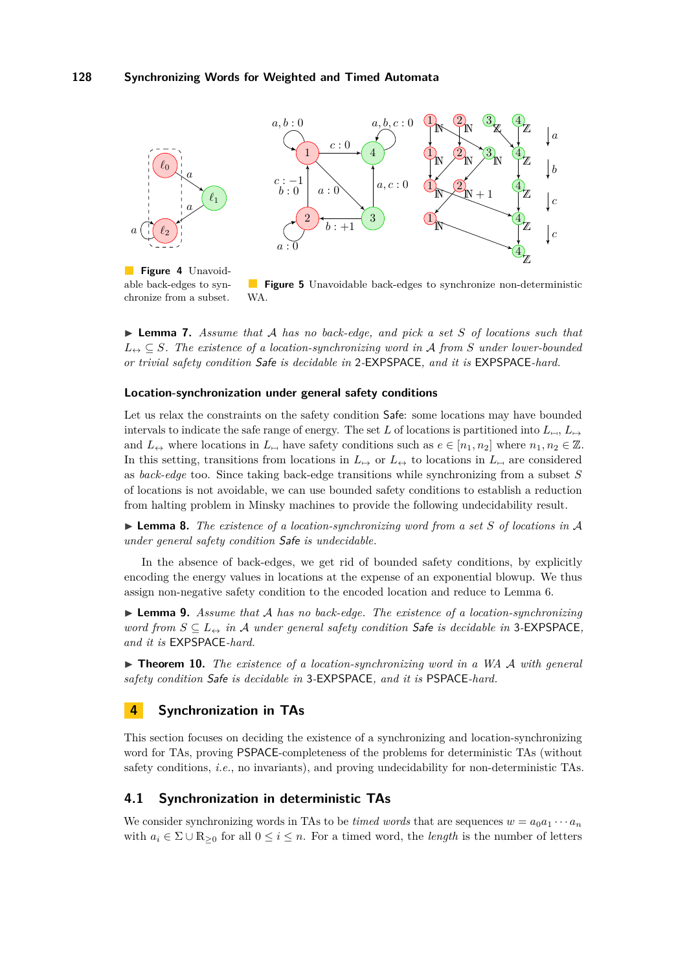<span id="page-7-0"></span>

**Figure 4** Unavoidable back-edges to synchronize from a subset.

**Figure 5** Unavoidable back-edges to synchronize non-deterministic WA.

I **Lemma 7.** *Assume that* A *has no back-edge, and pick a set S of locations such that*  $L_{\leftrightarrow} \subseteq S$ . The existence of a location-synchronizing word in A from S under lower-bounded *or trivial safety condition* Safe *is decidable in* 2*-*EXPSPACE*, and it is* EXPSPACE*-hard.*

## **Location-synchronization under general safety conditions**

Let us relax the constraints on the safety condition Safe: some locations may have bounded intervals to indicate the safe range of energy. The set *L* of locations is partitioned into  $L_{\mapsto}$ ,  $L_{\mapsto}$ and  $L_{\leftrightarrow}$  where locations in  $L_{\leftrightarrow}$  have safety conditions such as  $e \in [n_1, n_2]$  where  $n_1, n_2 \in \mathbb{Z}$ . In this setting, transitions from locations in  $L_{\rightarrow}$  or  $L_{\leftrightarrow}$  to locations in  $L_{\rightarrow}$  are considered as *back-edge* too. Since taking back-edge transitions while synchronizing from a subset *S* of locations is not avoidable, we can use bounded safety conditions to establish a reduction from halting problem in Minsky machines to provide the following undecidability result.

I **Lemma 8.** *The existence of a location-synchronizing word from a set S of locations in* A *under general safety condition* Safe *is undecidable.*

In the absence of back-edges, we get rid of bounded safety conditions, by explicitly encoding the energy values in locations at the expense of an exponential blowup. We thus assign non-negative safety condition to the encoded location and reduce to Lemma [6.](#page-6-2)

I **Lemma 9.** *Assume that* A *has no back-edge. The existence of a location-synchronizing word from*  $S \subseteq L \nightharpoonup$  *in* A *under general safety condition* Safe *is decidable in* 3-EXPSPACE, *and it is* EXPSPACE*-hard.*

I **Theorem 10.** *The existence of a location-synchronizing word in a WA* A *with general safety condition* Safe *is decidable in* 3*-*EXPSPACE*, and it is* PSPACE*-hard.*

## **4 Synchronization in TAs**

This section focuses on deciding the existence of a synchronizing and location-synchronizing word for TAs, proving PSPACE-completeness of the problems for deterministic TAs (without safety conditions, *i.e.*, no invariants), and proving undecidability for non-deterministic TAs.

## **4.1 Synchronization in deterministic TAs**

We consider synchronizing words in TAs to be *timed words* that are sequences  $w = a_0 a_1 \cdots a_n$ with  $a_i \in \Sigma \cup \mathbb{R}_{\geq 0}$  for all  $0 \leq i \leq n$ . For a timed word, the *length* is the number of letters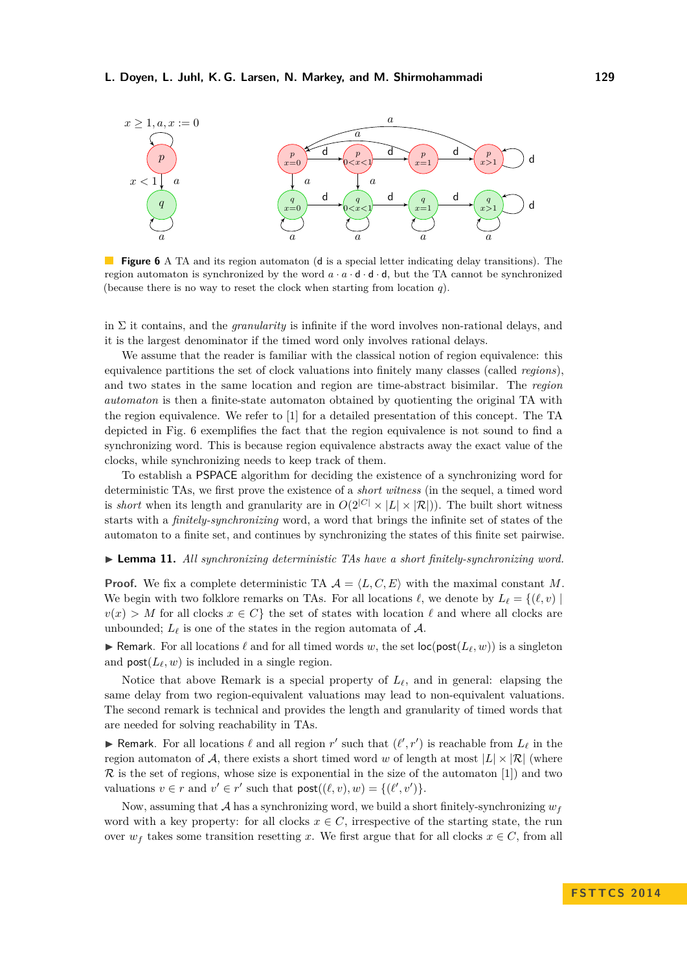## **L. Doyen, L. Juhl, K. G. Larsen, N. Markey, and M. Shirmohammadi 129**

<span id="page-8-0"></span>

**Figure 6** A TA and its region automaton (**d** is a special letter indicating delay transitions). The region automaton is synchronized by the word  $a \cdot a \cdot d \cdot d \cdot d$ , but the TA cannot be synchronized (because there is no way to reset the clock when starting from location *q*).

in  $\Sigma$  it contains, and the *granularity* is infinite if the word involves non-rational delays, and it is the largest denominator if the timed word only involves rational delays.

We assume that the reader is familiar with the classical notion of region equivalence: this equivalence partitions the set of clock valuations into finitely many classes (called *regions*), and two states in the same location and region are time-abstract bisimilar. The *region automaton* is then a finite-state automaton obtained by quotienting the original TA with the region equivalence. We refer to [\[1\]](#page-11-8) for a detailed presentation of this concept. The TA depicted in Fig. [6](#page-8-0) exemplifies the fact that the region equivalence is not sound to find a synchronizing word. This is because region equivalence abstracts away the exact value of the clocks, while synchronizing needs to keep track of them.

To establish a PSPACE algorithm for deciding the existence of a synchronizing word for deterministic TAs, we first prove the existence of a *short witness* (in the sequel, a timed word is *short* when its length and granularity are in  $O(2^{|C|} \times |L| \times |\mathcal{R}|)$ ). The built short witness starts with a *finitely-synchronizing* word, a word that brings the infinite set of states of the automaton to a finite set, and continues by synchronizing the states of this finite set pairwise.

<span id="page-8-1"></span>I **Lemma 11.** *All synchronizing deterministic TAs have a short finitely-synchronizing word.*

**Proof.** We fix a complete deterministic TA  $A = \langle L, C, E \rangle$  with the maximal constant M. We begin with two folklore remarks on TAs. For all locations  $\ell$ , we denote by  $L_{\ell} = \{(\ell, v) \mid$  $v(x) > M$  for all clocks  $x \in C$  the set of states with location  $\ell$  and where all clocks are unbounded;  $L_{\ell}$  is one of the states in the region automata of  $A$ .

**If** Remark. For all locations  $\ell$  and for all timed words w, the set loc(post( $L_\ell, w$ )) is a singleton and  $post(L_{\ell}, w)$  is included in a single region.

Notice that above Remark is a special property of  $L_{\ell}$ , and in general: elapsing the same delay from two region-equivalent valuations may lead to non-equivalent valuations. The second remark is technical and provides the length and granularity of timed words that are needed for solving reachability in TAs.

**Funda**rk. For all locations  $\ell$  and all region  $r'$  such that  $(\ell', r')$  is reachable from  $L_{\ell}$  in the region automaton of A, there exists a short timed word *w* of length at most  $|L| \times |\mathcal{R}|$  (where  $\mathcal R$  is the set of regions, whose size is exponential in the size of the automaton [\[1\]](#page-11-8)) and two valuations  $v \in r$  and  $v' \in r'$  such that  $\text{post}((\ell, v), w) = \{(\ell', v')\}.$ 

Now, assuming that A has a synchronizing word, we build a short finitely-synchronizing  $w_f$ word with a key property: for all clocks  $x \in C$ , irrespective of the starting state, the run over  $w_f$  takes some transition resetting *x*. We first argue that for all clocks  $x \in C$ , from all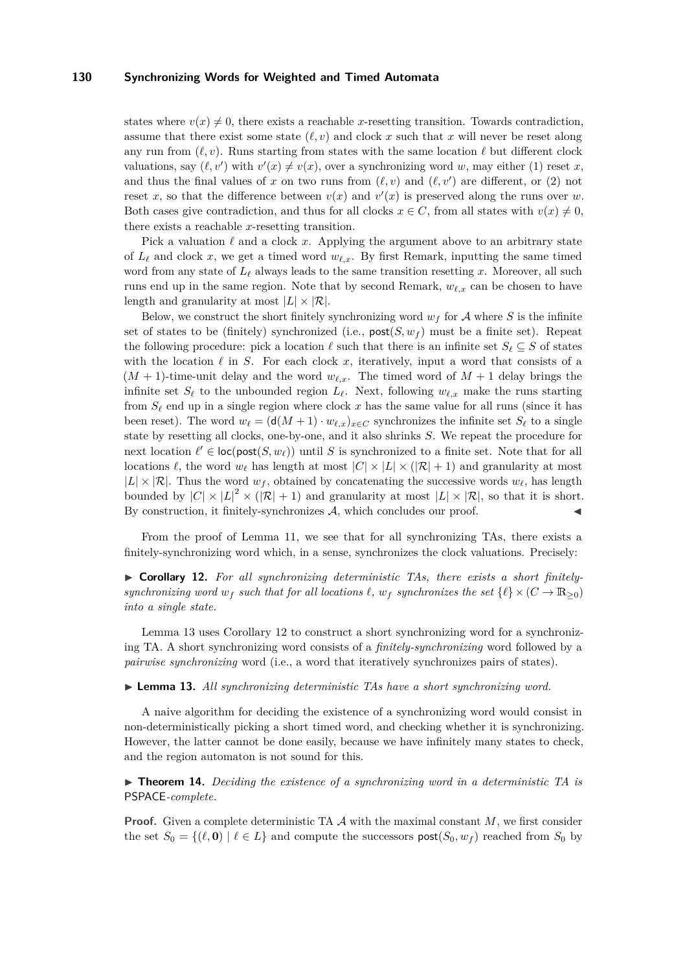states where  $v(x) \neq 0$ , there exists a reachable *x*-resetting transition. Towards contradiction, assume that there exist some state  $(\ell, v)$  and clock x such that x will never be reset along any run from  $(\ell, v)$ . Runs starting from states with the same location  $\ell$  but different clock valuations, say  $(\ell, v')$  with  $v'(x) \neq v(x)$ , over a synchronizing word *w*, may either (1) reset *x*, and thus the final values of x on two runs from  $(\ell, v)$  and  $(\ell, v')$  are different, or (2) not reset x, so that the difference between  $v(x)$  and  $v'(x)$  is preserved along the runs over w. Both cases give contradiction, and thus for all clocks  $x \in C$ , from all states with  $v(x) \neq 0$ , there exists a reachable *x*-resetting transition.

Pick a valuation  $\ell$  and a clock x. Applying the argument above to an arbitrary state of  $L_\ell$  and clock x, we get a timed word  $w_{\ell,x}$ . By first Remark, inputting the same timed word from any state of  $L_\ell$  always leads to the same transition resetting x. Moreover, all such runs end up in the same region. Note that by second Remark,  $w_{\ell,x}$  can be chosen to have length and granularity at most  $|L| \times |\mathcal{R}|$ .

Below, we construct the short finitely synchronizing word  $w_f$  for A where S is the infinite set of states to be (finitely) synchronized (i.e.,  $post(S, w_f)$  must be a finite set). Repeat the following procedure: pick a location  $\ell$  such that there is an infinite set  $S_{\ell} \subseteq S$  of states with the location  $\ell$  in *S*. For each clock *x*, iteratively, input a word that consists of a  $(M + 1)$ -time-unit delay and the word  $w_{\ell,x}$ . The timed word of  $M + 1$  delay brings the infinite set  $S_\ell$  to the unbounded region  $L_\ell$ . Next, following  $w_{\ell,x}$  make the runs starting from  $S_{\ell}$  end up in a single region where clock x has the same value for all runs (since it has been reset). The word  $w_{\ell} = (\mathsf{d}(M + 1) \cdot w_{\ell,x})_{x \in C}$  synchronizes the infinite set  $S_{\ell}$  to a single state by resetting all clocks, one-by-one, and it also shrinks *S*. We repeat the procedure for next location  $\ell' \in \text{loc}(\text{post}(S, w_{\ell}))$  until *S* is synchronized to a finite set. Note that for all locations  $\ell$ , the word  $w_{\ell}$  has length at most  $|C| \times |L| \times (|\mathcal{R}| + 1)$  and granularity at most  $|L| \times |\mathcal{R}|$ . Thus the word  $w_f$ , obtained by concatenating the successive words  $w_f$ , has length bounded by  $|C| \times |L|^2 \times (|\mathcal{R}| + 1)$  and granularity at most  $|L| \times |\mathcal{R}|$ , so that it is short. By construction, it finitely-synchronizes  $A$ , which concludes our proof.

From the proof of Lemma [11,](#page-8-1) we see that for all synchronizing TAs, there exists a finitely-synchronizing word which, in a sense, synchronizes the clock valuations. Precisely:

<span id="page-9-1"></span>▶ Corollary 12. For all synchronizing deterministic TAs, there exists a short finitely*synchronizing word*  $w_f$  *such that for all locations*  $\ell$ ,  $w_f$  *synchronizes the set*  $\{\ell\} \times (C \to \mathbb{R}_{\geq 0})$ *into a single state.*

Lemma [13](#page-9-0) uses Corollary [12](#page-9-1) to construct a short synchronizing word for a synchronizing TA. A short synchronizing word consists of a *finitely-synchronizing* word followed by a *pairwise synchronizing* word (i.e., a word that iteratively synchronizes pairs of states).

<span id="page-9-0"></span>I **Lemma 13.** *All synchronizing deterministic TAs have a short synchronizing word.*

A naive algorithm for deciding the existence of a synchronizing word would consist in non-deterministically picking a short timed word, and checking whether it is synchronizing. However, the latter cannot be done easily, because we have infinitely many states to check, and the region automaton is not sound for this.

► **Theorem 14.** *Deciding the existence of a synchronizing word in a deterministic TA is* PSPACE*-complete.*

**Proof.** Given a complete deterministic TA  $\mathcal A$  with the maximal constant  $M$ , we first consider the set  $S_0 = \{(\ell, \mathbf{0}) \mid \ell \in L\}$  and compute the successors  $\text{post}(S_0, w_f)$  reached from  $S_0$  by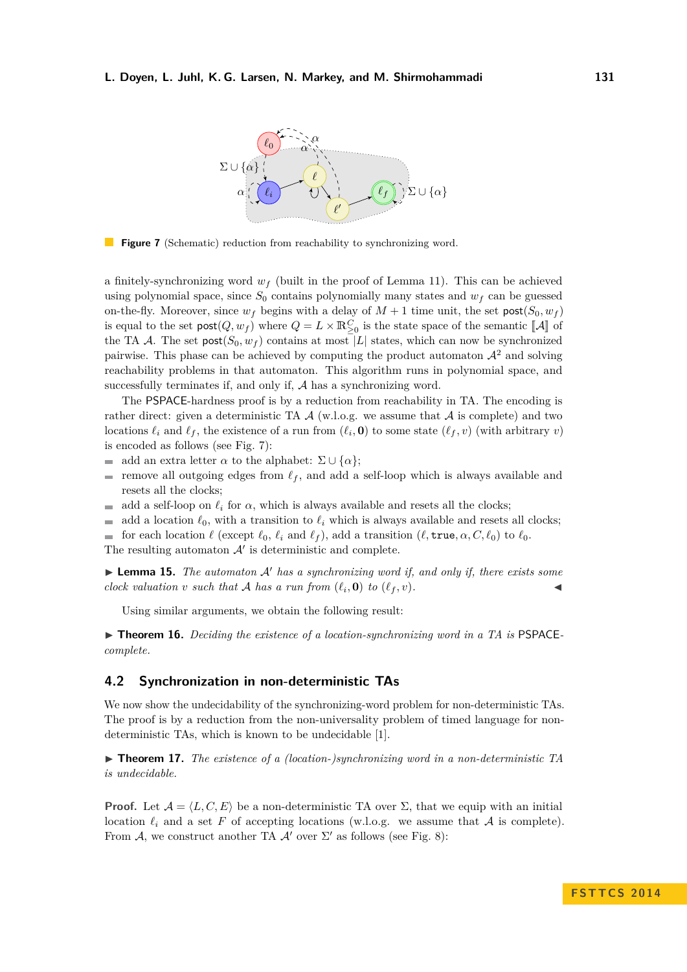<span id="page-10-0"></span>

**Figure 7** (Schematic) reduction from reachability to synchronizing word.

a finitely-synchronizing word *w<sup>f</sup>* (built in the proof of Lemma [11\)](#page-8-1). This can be achieved using polynomial space, since  $S_0$  contains polynomially many states and  $w_f$  can be guessed on-the-fly. Moreover, since  $w_f$  begins with a delay of  $M + 1$  time unit, the set  $post(S_0, w_f)$ is equal to the set  $\text{post}(Q, w_f)$  where  $Q = L \times \mathbb{R}_{\geq 0}^C$  is the state space of the semantic  $[\![A]\!]$  of the TA A. The set  $post(S_0, w_f)$  contains at most |L| states, which can now be synchronized pairwise. This phase can be achieved by computing the product automaton  $\mathcal{A}^2$  and solving reachability problems in that automaton. This algorithm runs in polynomial space, and successfully terminates if, and only if, A has a synchronizing word.

The PSPACE-hardness proof is by a reduction from reachability in TA. The encoding is rather direct: given a deterministic TA  $\mathcal A$  (w.l.o.g. we assume that  $\mathcal A$  is complete) and two locations  $\ell_i$  and  $\ell_f$ , the existence of a run from  $(\ell_i, \mathbf{0})$  to some state  $(\ell_f, v)$  (with arbitrary *v*) is encoded as follows (see Fig. [7\)](#page-10-0):

- add an extra letter  $\alpha$  to the alphabet:  $\Sigma \cup {\alpha}$ ;  $\blacksquare$
- remove all outgoing edges from  $\ell_f$ , and add a self-loop which is always available and  $\overline{\phantom{a}}$ resets all the clocks;
- add a self-loop on  $\ell_i$  for  $\alpha$ , which is always available and resets all the clocks;  $\mathbf{r}$
- $\blacksquare$ add a location  $\ell_0$ , with a transition to  $\ell_i$  which is always available and resets all clocks;

for each location  $\ell$  (except  $\ell_0$ ,  $\ell_i$  and  $\ell_f$ ), add a transition ( $\ell$ , true,  $\alpha$ ,  $C$ ,  $\ell_0$ ) to  $\ell_0$ . m.

The resulting automaton  $A'$  is deterministic and complete.

 $\triangleright$  **Lemma 15.** *The automaton*  $A'$  *has a synchronizing word if, and only if, there exists some clock valuation v such that* A *has a run from*  $(\ell_i, \mathbf{0})$  *to*  $(\ell_f, v)$ *.* 

Using similar arguments, we obtain the following result:

▶ **Theorem 16.** *Deciding the existence of a location-synchronizing word in a TA is* PSPACE*complete.*

## **4.2 Synchronization in non-deterministic TAs**

We now show the undecidability of the synchronizing-word problem for non-deterministic TAs. The proof is by a reduction from the non-universality problem of timed language for nondeterministic TAs, which is known to be undecidable [\[1\]](#page-11-8).

▶ **Theorem 17.** *The existence of a (location-)synchronizing word in a non-deterministic TA is undecidable.*

**Proof.** Let  $A = \langle L, C, E \rangle$  be a non-deterministic TA over  $\Sigma$ , that we equip with an initial location  $\ell_i$  and a set F of accepting locations (w.l.o.g. we assume that A is complete). From A, we construct another TA  $\mathcal{A}'$  over  $\Sigma'$  as follows (see Fig. [8\)](#page-11-9):